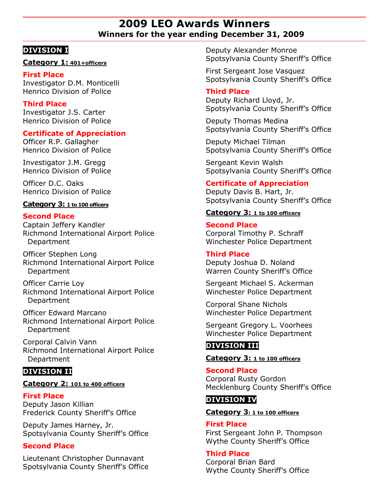# 2009 LEO Awards Winners Winners for the year ending December 31, 2009

# DIVISION I

## Category 1: 401+officers

First Place

Investigator D.M. Monticelli Henrico Division of Police

## Third Place

Investigator J.S. Carter Henrico Division of Police

# Certificate of Appreciation

Officer R.P. Gallagher Henrico Division of Police

Investigator J.M. Gregg Henrico Division of Police

Officer D.C. Oaks Henrico Division of Police

#### Category 3: 1 to 100 officers

#### Second Place

Captain Jeffery Kandler Richmond International Airport Police Department

Officer Stephen Long Richmond International Airport Police Department

Officer Carrie Loy Richmond International Airport Police Department

Officer Edward Marcano Richmond International Airport Police Department

Corporal Calvin Vann Richmond International Airport Police Department

# DIVISION II

#### Category 2: 101 to 400 officers

First Place Deputy Jason Killian Frederick County Sheriff's Office

Deputy James Harney, Jr. Spotsylvania County Sheriff's Office

# Second Place

Lieutenant Christopher Dunnavant Spotsylvania County Sheriff's Office Deputy Alexander Monroe Spotsylvania County Sheriff's Office

First Sergeant Jose Vasquez Spotsylvania County Sheriff's Office

## Third Place

Deputy Richard Lloyd, Jr. Spotsylvania County Sheriff's Office

Deputy Thomas Medina Spotsylvania County Sheriff's Office

Deputy Michael Tilman Spotsylvania County Sheriff's Office

Sergeant Kevin Walsh Spotsylvania County Sheriff's Office

# Certificate of Appreciation

Deputy Davis B. Hart, Jr. Spotsylvania County Sheriff's Office

#### Category 3: 1 to 100 officers

Second Place Corporal Timothy P. Schraff Winchester Police Department

#### Third Place

Deputy Joshua D. Noland Warren County Sheriff's Office

Sergeant Michael S. Ackerman Winchester Police Department

Corporal Shane Nichols Winchester Police Department

Sergeant Gregory L. Voorhees Winchester Police Department

# DIVISION III

#### Category 3: 1 to 100 officers

#### Second Place

Corporal Rusty Gordon Mecklenburg County Sheriff's Office

# DIVISION IV

#### Category 3: 1 to 100 officers

First Place First Sergeant John P. Thompson Wythe County Sheriff's Office

#### Third Place

Corporal Brian Bard Wythe County Sheriff's Office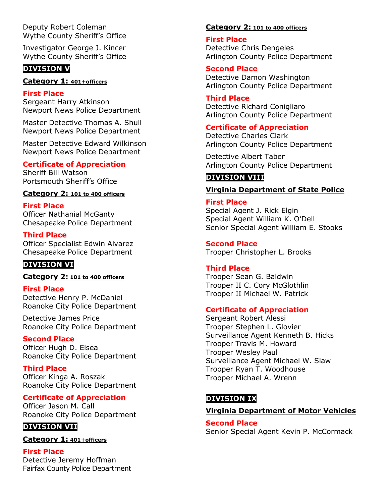Deputy Robert Coleman Wythe County Sheriff's Office

Investigator George J. Kincer Wythe County Sheriff's Office

## DIVISION V

## Category 1: 401+officers

#### First Place

Sergeant Harry Atkinson Newport News Police Department

Master Detective Thomas A. Shull Newport News Police Department

Master Detective Edward Wilkinson Newport News Police Department

## Certificate of Appreciation

Sheriff Bill Watson Portsmouth Sheriff's Office

#### Category 2: 101 to 400 officers

First Place Officer Nathanial McGanty Chesapeake Police Department

## Third Place

Officer Specialist Edwin Alvarez Chesapeake Police Department

# DIVISION VI

## Category 2: 101 to 400 officers

First Place Detective Henry P. McDaniel Roanoke City Police Department

Detective James Price Roanoke City Police Department

#### Second Place

Officer Hugh D. Elsea Roanoke City Police Department

Third Place Officer Kinga A. Roszak Roanoke City Police Department

# Certificate of Appreciation

Officer Jason M. Call Roanoke City Police Department

# DIVISION VII

### Category 1: 401+officers

First Place Detective Jeremy Hoffman Fairfax County Police Department

### Category 2: 101 to 400 officers

### First Place

Detective Chris Dengeles Arlington County Police Department

#### Second Place

Detective Damon Washington Arlington County Police Department

#### Third Place

Detective Richard Conigliaro Arlington County Police Department

## Certificate of Appreciation

Detective Charles Clark Arlington County Police Department

Detective Albert Taber Arlington County Police Department

# DIVISION VIII

## Virginia Department of State Police

#### First Place

Special Agent J. Rick Elgin Special Agent William K. O'Dell Senior Special Agent William E. Stooks

#### Second Place

Trooper Christopher L. Brooks

#### Third Place

Trooper Sean G. Baldwin Trooper II C. Cory McGlothlin Trooper II Michael W. Patrick

#### Certificate of Appreciation

Sergeant Robert Alessi Trooper Stephen L. Glovier Surveillance Agent Kenneth B. Hicks Trooper Travis M. Howard Trooper Wesley Paul Surveillance Agent Michael W. Slaw Trooper Ryan T. Woodhouse Trooper Michael A. Wrenn

# DIVISION IX

# Virginia Department of Motor Vehicles

#### Second Place

Senior Special Agent Kevin P. McCormack